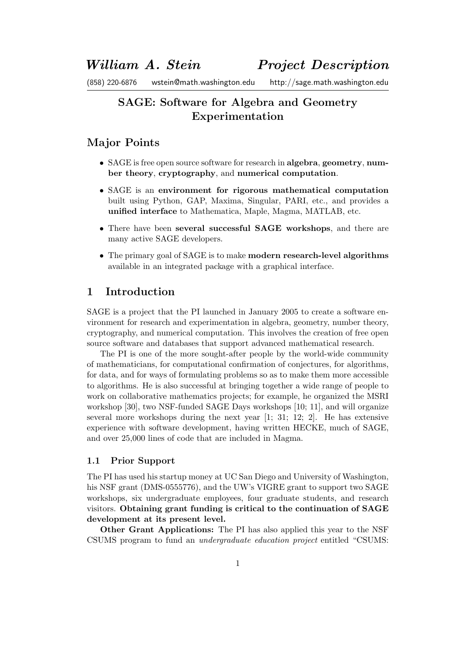# SAGE: Software for Algebra and Geometry Experimentation

# Major Points

- SAGE is free open source software for research in algebra, geometry, number theory, cryptography, and numerical computation.
- SAGE is an environment for rigorous mathematical computation built using Python, GAP, Maxima, Singular, PARI, etc., and provides a unified interface to Mathematica, Maple, Magma, MATLAB, etc.
- There have been several successful SAGE workshops, and there are many active SAGE developers.
- The primary goal of SAGE is to make modern research-level algorithms available in an integrated package with a graphical interface.

# 1 Introduction

SAGE is a project that the PI launched in January 2005 to create a software environment for research and experimentation in algebra, geometry, number theory, cryptography, and numerical computation. This involves the creation of free open source software and databases that support advanced mathematical research.

The PI is one of the more sought-after people by the world-wide community of mathematicians, for computational confirmation of conjectures, for algorithms, for data, and for ways of formulating problems so as to make them more accessible to algorithms. He is also successful at bringing together a wide range of people to work on collaborative mathematics projects; for example, he organized the MSRI workshop [30], two NSF-funded SAGE Days workshops [10; 11], and will organize several more workshops during the next year [1; 31; 12; 2]. He has extensive experience with software development, having written HECKE, much of SAGE, and over 25,000 lines of code that are included in Magma.

# 1.1 Prior Support

The PI has used his startup money at UC San Diego and University of Washington, his NSF grant (DMS-0555776), and the UW's VIGRE grant to support two SAGE workshops, six undergraduate employees, four graduate students, and research visitors. Obtaining grant funding is critical to the continuation of SAGE development at its present level.

Other Grant Applications: The PI has also applied this year to the NSF CSUMS program to fund an undergraduate education project entitled "CSUMS: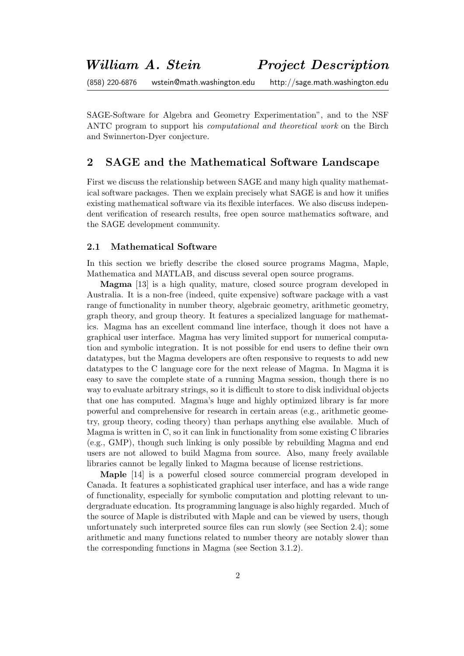SAGE-Software for Algebra and Geometry Experimentation", and to the NSF ANTC program to support his computational and theoretical work on the Birch and Swinnerton-Dyer conjecture.

# 2 SAGE and the Mathematical Software Landscape

First we discuss the relationship between SAGE and many high quality mathematical software packages. Then we explain precisely what SAGE is and how it unifies existing mathematical software via its flexible interfaces. We also discuss independent verification of research results, free open source mathematics software, and the SAGE development community.

## 2.1 Mathematical Software

In this section we briefly describe the closed source programs Magma, Maple, Mathematica and MATLAB, and discuss several open source programs.

Magma [13] is a high quality, mature, closed source program developed in Australia. It is a non-free (indeed, quite expensive) software package with a vast range of functionality in number theory, algebraic geometry, arithmetic geometry, graph theory, and group theory. It features a specialized language for mathematics. Magma has an excellent command line interface, though it does not have a graphical user interface. Magma has very limited support for numerical computation and symbolic integration. It is not possible for end users to define their own datatypes, but the Magma developers are often responsive to requests to add new datatypes to the C language core for the next release of Magma. In Magma it is easy to save the complete state of a running Magma session, though there is no way to evaluate arbitrary strings, so it is difficult to store to disk individual objects that one has computed. Magma's huge and highly optimized library is far more powerful and comprehensive for research in certain areas (e.g., arithmetic geometry, group theory, coding theory) than perhaps anything else available. Much of Magma is written in C, so it can link in functionality from some existing C libraries (e.g., GMP), though such linking is only possible by rebuilding Magma and end users are not allowed to build Magma from source. Also, many freely available libraries cannot be legally linked to Magma because of license restrictions.

Maple [14] is a powerful closed source commercial program developed in Canada. It features a sophisticated graphical user interface, and has a wide range of functionality, especially for symbolic computation and plotting relevant to undergraduate education. Its programming language is also highly regarded. Much of the source of Maple is distributed with Maple and can be viewed by users, though unfortunately such interpreted source files can run slowly (see Section 2.4); some arithmetic and many functions related to number theory are notably slower than the corresponding functions in Magma (see Section 3.1.2).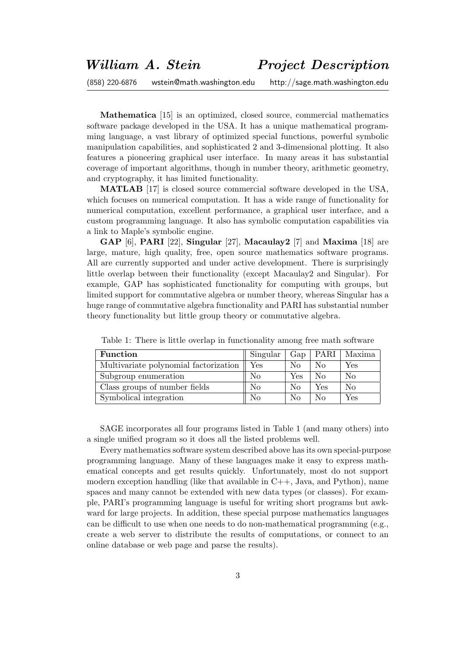Mathematica [15] is an optimized, closed source, commercial mathematics software package developed in the USA. It has a unique mathematical programming language, a vast library of optimized special functions, powerful symbolic manipulation capabilities, and sophisticated 2 and 3-dimensional plotting. It also features a pioneering graphical user interface. In many areas it has substantial coverage of important algorithms, though in number theory, arithmetic geometry, and cryptography, it has limited functionality.

MATLAB [17] is closed source commercial software developed in the USA, which focuses on numerical computation. It has a wide range of functionality for numerical computation, excellent performance, a graphical user interface, and a custom programming language. It also has symbolic computation capabilities via a link to Maple's symbolic engine.

GAP [6], PARI [22], Singular [27], Macaulay2 [7] and Maxima [18] are large, mature, high quality, free, open source mathematics software programs. All are currently supported and under active development. There is surprisingly little overlap between their functionality (except Macaulay2 and Singular). For example, GAP has sophisticated functionality for computing with groups, but limited support for commutative algebra or number theory, whereas Singular has a huge range of commutative algebra functionality and PARI has substantial number theory functionality but little group theory or commutative algebra.

| <b>Function</b>                       | Singular | $\Gamma$ Gap |          | PARI   Maxima |
|---------------------------------------|----------|--------------|----------|---------------|
| Multivariate polynomial factorization | Yes      | No           | No       | Yes           |
| Subgroup enumeration                  | No       | Yes          | $\rm No$ | No            |
| Class groups of number fields         | No       | $\rm No$     | Yes      | $\rm No$      |
| Symbolical integration                | No       | $\rm No$     | $\rm No$ | Yes           |

Table 1: There is little overlap in functionality among free math software

SAGE incorporates all four programs listed in Table 1 (and many others) into a single unified program so it does all the listed problems well.

Every mathematics software system described above has its own special-purpose programming language. Many of these languages make it easy to express mathematical concepts and get results quickly. Unfortunately, most do not support modern exception handling (like that available in  $C_{++}$ , Java, and Python), name spaces and many cannot be extended with new data types (or classes). For example, PARI's programming language is useful for writing short programs but awkward for large projects. In addition, these special purpose mathematics languages can be difficult to use when one needs to do non-mathematical programming (e.g., create a web server to distribute the results of computations, or connect to an online database or web page and parse the results).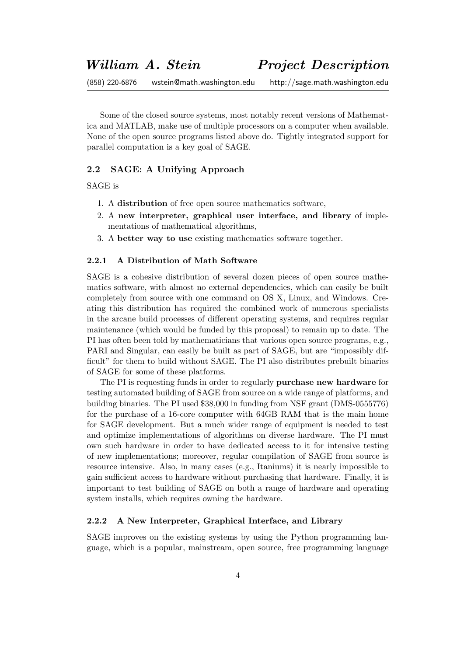Some of the closed source systems, most notably recent versions of Mathematica and MATLAB, make use of multiple processors on a computer when available. None of the open source programs listed above do. Tightly integrated support for parallel computation is a key goal of SAGE.

# 2.2 SAGE: A Unifying Approach

SAGE is

- 1. A distribution of free open source mathematics software,
- 2. A new interpreter, graphical user interface, and library of implementations of mathematical algorithms,
- 3. A better way to use existing mathematics software together.

### 2.2.1 A Distribution of Math Software

SAGE is a cohesive distribution of several dozen pieces of open source mathematics software, with almost no external dependencies, which can easily be built completely from source with one command on OS X, Linux, and Windows. Creating this distribution has required the combined work of numerous specialists in the arcane build processes of different operating systems, and requires regular maintenance (which would be funded by this proposal) to remain up to date. The PI has often been told by mathematicians that various open source programs, e.g., PARI and Singular, can easily be built as part of SAGE, but are "impossibly difficult" for them to build without SAGE. The PI also distributes prebuilt binaries of SAGE for some of these platforms.

The PI is requesting funds in order to regularly **purchase new hardware** for testing automated building of SAGE from source on a wide range of platforms, and building binaries. The PI used \$38,000 in funding from NSF grant (DMS-0555776) for the purchase of a 16-core computer with 64GB RAM that is the main home for SAGE development. But a much wider range of equipment is needed to test and optimize implementations of algorithms on diverse hardware. The PI must own such hardware in order to have dedicated access to it for intensive testing of new implementations; moreover, regular compilation of SAGE from source is resource intensive. Also, in many cases (e.g., Itaniums) it is nearly impossible to gain sufficient access to hardware without purchasing that hardware. Finally, it is important to test building of SAGE on both a range of hardware and operating system installs, which requires owning the hardware.

### 2.2.2 A New Interpreter, Graphical Interface, and Library

SAGE improves on the existing systems by using the Python programming language, which is a popular, mainstream, open source, free programming language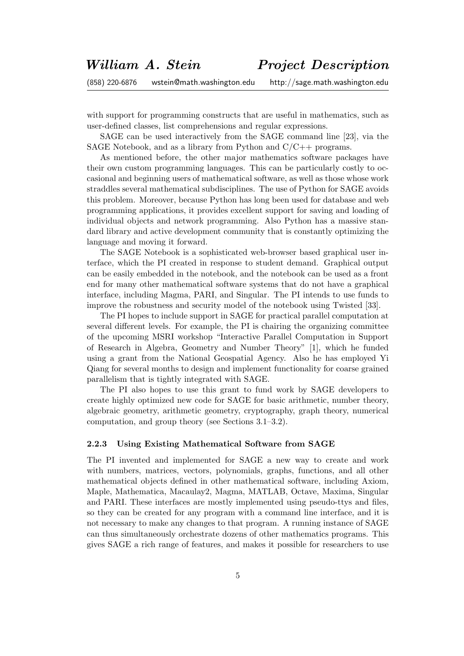with support for programming constructs that are useful in mathematics, such as user-defined classes, list comprehensions and regular expressions.

SAGE can be used interactively from the SAGE command line [23], via the SAGE Notebook, and as a library from Python and  $C/C++$  programs.

As mentioned before, the other major mathematics software packages have their own custom programming languages. This can be particularly costly to occasional and beginning users of mathematical software, as well as those whose work straddles several mathematical subdisciplines. The use of Python for SAGE avoids this problem. Moreover, because Python has long been used for database and web programming applications, it provides excellent support for saving and loading of individual objects and network programming. Also Python has a massive standard library and active development community that is constantly optimizing the language and moving it forward.

The SAGE Notebook is a sophisticated web-browser based graphical user interface, which the PI created in response to student demand. Graphical output can be easily embedded in the notebook, and the notebook can be used as a front end for many other mathematical software systems that do not have a graphical interface, including Magma, PARI, and Singular. The PI intends to use funds to improve the robustness and security model of the notebook using Twisted [33].

The PI hopes to include support in SAGE for practical parallel computation at several different levels. For example, the PI is chairing the organizing committee of the upcoming MSRI workshop "Interactive Parallel Computation in Support of Research in Algebra, Geometry and Number Theory" [1], which he funded using a grant from the National Geospatial Agency. Also he has employed Yi Qiang for several months to design and implement functionality for coarse grained parallelism that is tightly integrated with SAGE.

The PI also hopes to use this grant to fund work by SAGE developers to create highly optimized new code for SAGE for basic arithmetic, number theory, algebraic geometry, arithmetic geometry, cryptography, graph theory, numerical computation, and group theory (see Sections 3.1–3.2).

### 2.2.3 Using Existing Mathematical Software from SAGE

The PI invented and implemented for SAGE a new way to create and work with numbers, matrices, vectors, polynomials, graphs, functions, and all other mathematical objects defined in other mathematical software, including Axiom, Maple, Mathematica, Macaulay2, Magma, MATLAB, Octave, Maxima, Singular and PARI. These interfaces are mostly implemented using pseudo-ttys and files, so they can be created for any program with a command line interface, and it is not necessary to make any changes to that program. A running instance of SAGE can thus simultaneously orchestrate dozens of other mathematics programs. This gives SAGE a rich range of features, and makes it possible for researchers to use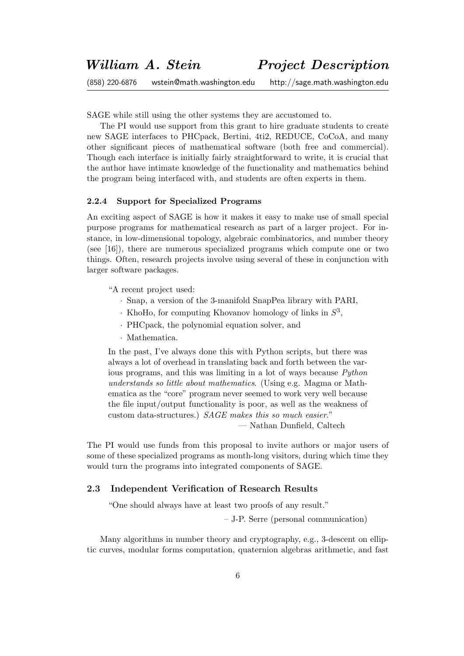SAGE while still using the other systems they are accustomed to.

The PI would use support from this grant to hire graduate students to create new SAGE interfaces to PHCpack, Bertini, 4ti2, REDUCE, CoCoA, and many other significant pieces of mathematical software (both free and commercial). Though each interface is initially fairly straightforward to write, it is crucial that the author have intimate knowledge of the functionality and mathematics behind the program being interfaced with, and students are often experts in them.

## 2.2.4 Support for Specialized Programs

An exciting aspect of SAGE is how it makes it easy to make use of small special purpose programs for mathematical research as part of a larger project. For instance, in low-dimensional topology, algebraic combinatorics, and number theory (see [16]), there are numerous specialized programs which compute one or two things. Often, research projects involve using several of these in conjunction with larger software packages.

"A recent project used:

- · Snap, a version of the 3-manifold SnapPea library with PARI,
- $\cdot$  KhoHo, for computing Khovanov homology of links in  $S^3$ ,
- · PHCpack, the polynomial equation solver, and
- · Mathematica.

In the past, I've always done this with Python scripts, but there was always a lot of overhead in translating back and forth between the various programs, and this was limiting in a lot of ways because Python understands so little about mathematics. (Using e.g. Magma or Mathematica as the "core" program never seemed to work very well because the file input/output functionality is poor, as well as the weakness of custom data-structures.) SAGE makes this so much easier." — Nathan Dunfield, Caltech

The PI would use funds from this proposal to invite authors or major users of some of these specialized programs as month-long visitors, during which time they would turn the programs into integrated components of SAGE.

## 2.3 Independent Verification of Research Results

"One should always have at least two proofs of any result."

– J-P. Serre (personal communication)

Many algorithms in number theory and cryptography, e.g., 3-descent on elliptic curves, modular forms computation, quaternion algebras arithmetic, and fast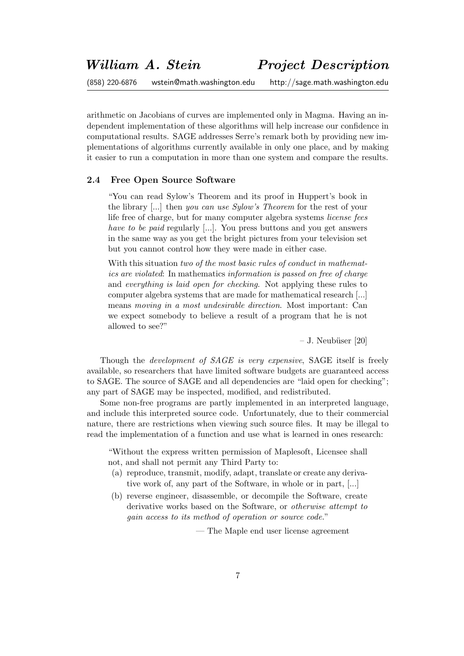arithmetic on Jacobians of curves are implemented only in Magma. Having an independent implementation of these algorithms will help increase our confidence in computational results. SAGE addresses Serre's remark both by providing new implementations of algorithms currently available in only one place, and by making it easier to run a computation in more than one system and compare the results.

### 2.4 Free Open Source Software

"You can read Sylow's Theorem and its proof in Huppert's book in the library [...] then you can use Sylow's Theorem for the rest of your life free of charge, but for many computer algebra systems license fees have to be paid regularly [...]. You press buttons and you get answers in the same way as you get the bright pictures from your television set but you cannot control how they were made in either case.

With this situation two of the most basic rules of conduct in mathematics are violated: In mathematics information is passed on free of charge and everything is laid open for checking. Not applying these rules to computer algebra systems that are made for mathematical research [...] means moving in a most undesirable direction. Most important: Can we expect somebody to believe a result of a program that he is not allowed to see?"

 $-$  J. Neubüser [20]

Though the *development of SAGE is very expensive*, SAGE itself is freely available, so researchers that have limited software budgets are guaranteed access to SAGE. The source of SAGE and all dependencies are "laid open for checking"; any part of SAGE may be inspected, modified, and redistributed.

Some non-free programs are partly implemented in an interpreted language, and include this interpreted source code. Unfortunately, due to their commercial nature, there are restrictions when viewing such source files. It may be illegal to read the implementation of a function and use what is learned in ones research:

"Without the express written permission of Maplesoft, Licensee shall not, and shall not permit any Third Party to:

- (a) reproduce, transmit, modify, adapt, translate or create any derivative work of, any part of the Software, in whole or in part, [...]
- (b) reverse engineer, disassemble, or decompile the Software, create derivative works based on the Software, or otherwise attempt to gain access to its method of operation or source code."

— The Maple end user license agreement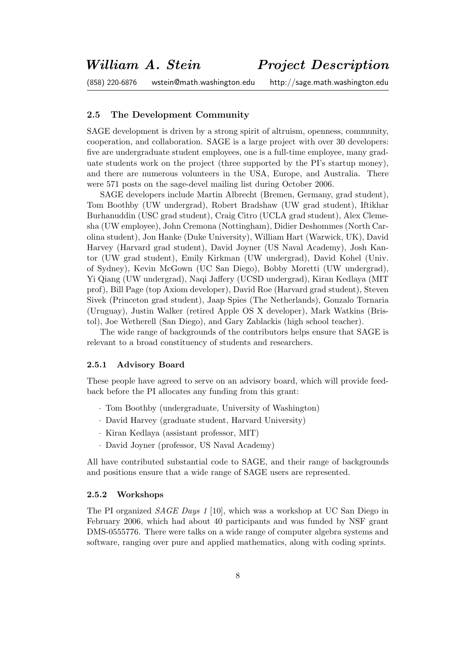## 2.5 The Development Community

SAGE development is driven by a strong spirit of altruism, openness, community, cooperation, and collaboration. SAGE is a large project with over 30 developers: five are undergraduate student employees, one is a full-time employee, many graduate students work on the project (three supported by the PI's startup money), and there are numerous volunteers in the USA, Europe, and Australia. There were 571 posts on the sage-devel mailing list during October 2006.

SAGE developers include Martin Albrecht (Bremen, Germany, grad student), Tom Boothby (UW undergrad), Robert Bradshaw (UW grad student), Iftikhar Burhanuddin (USC grad student), Craig Citro (UCLA grad student), Alex Clemesha (UW employee), John Cremona (Nottingham), Didier Deshommes (North Carolina student), Jon Hanke (Duke University), William Hart (Warwick, UK), David Harvey (Harvard grad student), David Joyner (US Naval Academy), Josh Kantor (UW grad student), Emily Kirkman (UW undergrad), David Kohel (Univ. of Sydney), Kevin McGown (UC San Diego), Bobby Moretti (UW undergrad), Yi Qiang (UW undergrad), Naqi Jaffery (UCSD undergrad), Kiran Kedlaya (MIT prof), Bill Page (top Axiom developer), David Roe (Harvard grad student), Steven Sivek (Princeton grad student), Jaap Spies (The Netherlands), Gonzalo Tornaria (Uruguay), Justin Walker (retired Apple OS X developer), Mark Watkins (Bristol), Joe Wetherell (San Diego), and Gary Zablackis (high school teacher).

The wide range of backgrounds of the contributors helps ensure that SAGE is relevant to a broad constituency of students and researchers.

#### 2.5.1 Advisory Board

These people have agreed to serve on an advisory board, which will provide feedback before the PI allocates any funding from this grant:

- · Tom Boothby (undergraduate, University of Washington)
- · David Harvey (graduate student, Harvard University)
- · Kiran Kedlaya (assistant professor, MIT)
- · David Joyner (professor, US Naval Academy)

All have contributed substantial code to SAGE, and their range of backgrounds and positions ensure that a wide range of SAGE users are represented.

### 2.5.2 Workshops

The PI organized SAGE Days 1 [10], which was a workshop at UC San Diego in February 2006, which had about 40 participants and was funded by NSF grant DMS-0555776. There were talks on a wide range of computer algebra systems and software, ranging over pure and applied mathematics, along with coding sprints.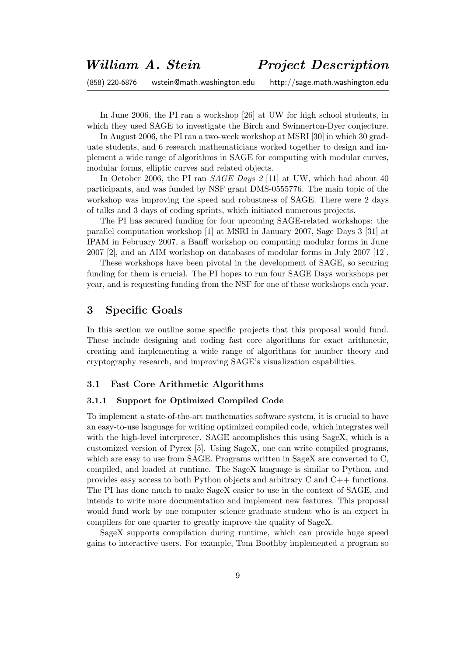In June 2006, the PI ran a workshop [26] at UW for high school students, in which they used SAGE to investigate the Birch and Swinnerton-Dyer conjecture.

In August 2006, the PI ran a two-week workshop at MSRI [30] in which 30 graduate students, and 6 research mathematicians worked together to design and implement a wide range of algorithms in SAGE for computing with modular curves, modular forms, elliptic curves and related objects.

In October 2006, the PI ran *SAGE Days* 2 [11] at UW, which had about 40 participants, and was funded by NSF grant DMS-0555776. The main topic of the workshop was improving the speed and robustness of SAGE. There were 2 days of talks and 3 days of coding sprints, which initiated numerous projects.

The PI has secured funding for four upcoming SAGE-related workshops: the parallel computation workshop [1] at MSRI in January 2007, Sage Days 3 [31] at IPAM in February 2007, a Banff workshop on computing modular forms in June 2007 [2], and an AIM workshop on databases of modular forms in July 2007 [12].

These workshops have been pivotal in the development of SAGE, so securing funding for them is crucial. The PI hopes to run four SAGE Days workshops per year, and is requesting funding from the NSF for one of these workshops each year.

# 3 Specific Goals

In this section we outline some specific projects that this proposal would fund. These include designing and coding fast core algorithms for exact arithmetic, creating and implementing a wide range of algorithms for number theory and cryptography research, and improving SAGE's visualization capabilities.

## 3.1 Fast Core Arithmetic Algorithms

### 3.1.1 Support for Optimized Compiled Code

To implement a state-of-the-art mathematics software system, it is crucial to have an easy-to-use language for writing optimized compiled code, which integrates well with the high-level interpreter. SAGE accomplishes this using SageX, which is a customized version of Pyrex [5]. Using SageX, one can write compiled programs, which are easy to use from SAGE. Programs written in SageX are converted to C. compiled, and loaded at runtime. The SageX language is similar to Python, and provides easy access to both Python objects and arbitrary C and C++ functions. The PI has done much to make SageX easier to use in the context of SAGE, and intends to write more documentation and implement new features. This proposal would fund work by one computer science graduate student who is an expert in compilers for one quarter to greatly improve the quality of SageX.

SageX supports compilation during runtime, which can provide huge speed gains to interactive users. For example, Tom Boothby implemented a program so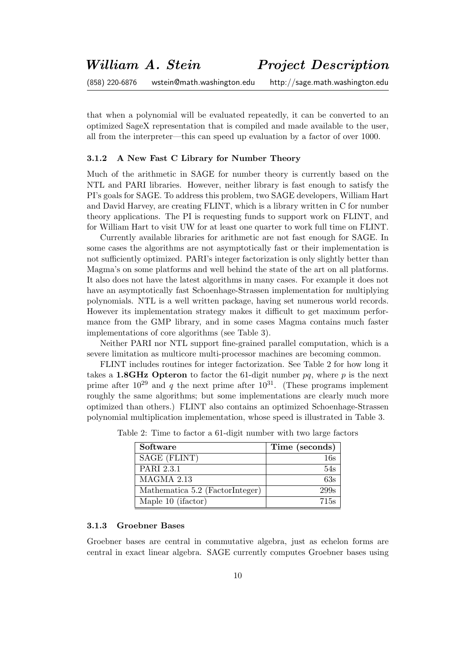that when a polynomial will be evaluated repeatedly, it can be converted to an optimized SageX representation that is compiled and made available to the user, all from the interpreter—this can speed up evaluation by a factor of over 1000.

### 3.1.2 A New Fast C Library for Number Theory

Much of the arithmetic in SAGE for number theory is currently based on the NTL and PARI libraries. However, neither library is fast enough to satisfy the PI's goals for SAGE. To address this problem, two SAGE developers, William Hart and David Harvey, are creating FLINT, which is a library written in C for number theory applications. The PI is requesting funds to support work on FLINT, and for William Hart to visit UW for at least one quarter to work full time on FLINT.

Currently available libraries for arithmetic are not fast enough for SAGE. In some cases the algorithms are not asymptotically fast or their implementation is not sufficiently optimized. PARI's integer factorization is only slightly better than Magma's on some platforms and well behind the state of the art on all platforms. It also does not have the latest algorithms in many cases. For example it does not have an asymptotically fast Schoenhage-Strassen implementation for multiplying polynomials. NTL is a well written package, having set numerous world records. However its implementation strategy makes it difficult to get maximum performance from the GMP library, and in some cases Magma contains much faster implementations of core algorithms (see Table 3).

Neither PARI nor NTL support fine-grained parallel computation, which is a severe limitation as multicore multi-processor machines are becoming common.

FLINT includes routines for integer factorization. See Table 2 for how long it takes a 1.8GHz Opteron to factor the 61-digit number  $pq$ , where p is the next prime after  $10^{29}$  and q the next prime after  $10^{31}$ . (These programs implement roughly the same algorithms; but some implementations are clearly much more optimized than others.) FLINT also contains an optimized Schoenhage-Strassen polynomial multiplication implementation, whose speed is illustrated in Table 3.

| Software                        | Time (seconds) |
|---------------------------------|----------------|
| SAGE (FLINT)                    |                |
| PARI 2.3.1                      | 54s            |
| MAGMA 2.13                      | 63s            |
| Mathematica 5.2 (FactorInteger) | 299s           |
| Maple 10 (ifactor)              | 715s           |

Table 2: Time to factor a 61-digit number with two large factors

## 3.1.3 Groebner Bases

Groebner bases are central in commutative algebra, just as echelon forms are central in exact linear algebra. SAGE currently computes Groebner bases using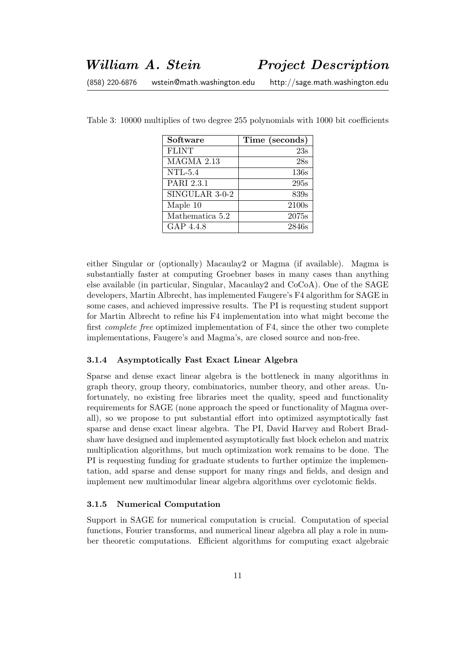| Software        | Time (seconds) |
|-----------------|----------------|
| <b>FLINT</b>    | 23s            |
| MAGMA 2.13      | 28s            |
| $NTL-5.4$       | 136s           |
| PARI 2.3.1      | 295s           |
| SINGULAR 3-0-2  | 839s           |
| Maple 10        | 2100s          |
| Mathematica 5.2 | 2075s          |
| GAP 4.4.8       | 2846s          |

Table 3: 10000 multiplies of two degree 255 polynomials with 1000 bit coefficients

either Singular or (optionally) Macaulay2 or Magma (if available). Magma is substantially faster at computing Groebner bases in many cases than anything else available (in particular, Singular, Macaulay2 and CoCoA). One of the SAGE developers, Martin Albrecht, has implemented Faugere's F4 algorithm for SAGE in some cases, and achieved impressive results. The PI is requesting student support for Martin Albrecht to refine his F4 implementation into what might become the first complete free optimized implementation of F4, since the other two complete implementations, Faugere's and Magma's, are closed source and non-free.

### 3.1.4 Asymptotically Fast Exact Linear Algebra

Sparse and dense exact linear algebra is the bottleneck in many algorithms in graph theory, group theory, combinatorics, number theory, and other areas. Unfortunately, no existing free libraries meet the quality, speed and functionality requirements for SAGE (none approach the speed or functionality of Magma overall), so we propose to put substantial effort into optimized asymptotically fast sparse and dense exact linear algebra. The PI, David Harvey and Robert Bradshaw have designed and implemented asymptotically fast block echelon and matrix multiplication algorithms, but much optimization work remains to be done. The PI is requesting funding for graduate students to further optimize the implementation, add sparse and dense support for many rings and fields, and design and implement new multimodular linear algebra algorithms over cyclotomic fields.

#### 3.1.5 Numerical Computation

Support in SAGE for numerical computation is crucial. Computation of special functions, Fourier transforms, and numerical linear algebra all play a role in number theoretic computations. Efficient algorithms for computing exact algebraic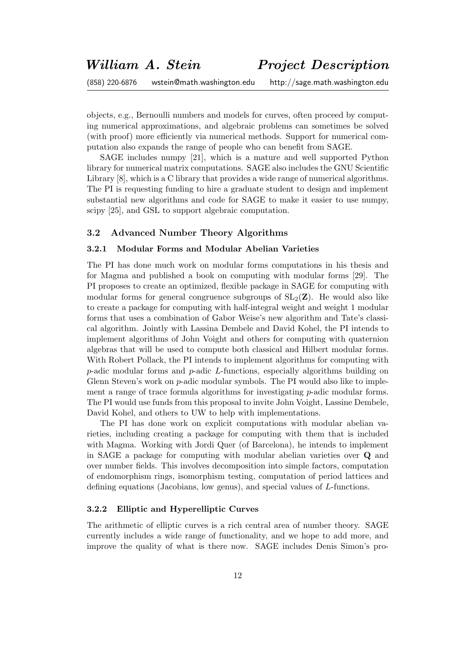objects, e.g., Bernoulli numbers and models for curves, often proceed by computing numerical approximations, and algebraic problems can sometimes be solved (with proof) more efficiently via numerical methods. Support for numerical computation also expands the range of people who can benefit from SAGE.

SAGE includes numpy [21], which is a mature and well supported Python library for numerical matrix computations. SAGE also includes the GNU Scientific Library [8], which is a C library that provides a wide range of numerical algorithms. The PI is requesting funding to hire a graduate student to design and implement substantial new algorithms and code for SAGE to make it easier to use numpy, scipy [25], and GSL to support algebraic computation.

### 3.2 Advanced Number Theory Algorithms

### 3.2.1 Modular Forms and Modular Abelian Varieties

The PI has done much work on modular forms computations in his thesis and for Magma and published a book on computing with modular forms [29]. The PI proposes to create an optimized, flexible package in SAGE for computing with modular forms for general congruence subgroups of  $SL_2(\mathbb{Z})$ . He would also like to create a package for computing with half-integral weight and weight 1 modular forms that uses a combination of Gabor Weise's new algorithm and Tate's classical algorithm. Jointly with Lassina Dembele and David Kohel, the PI intends to implement algorithms of John Voight and others for computing with quaternion algebras that will be used to compute both classical and Hilbert modular forms. With Robert Pollack, the PI intends to implement algorithms for computing with  $p$ -adic modular forms and  $p$ -adic  $L$ -functions, especially algorithms building on Glenn Steven's work on *p*-adic modular symbols. The PI would also like to implement a range of trace formula algorithms for investigating  $p$ -adic modular forms. The PI would use funds from this proposal to invite John Voight, Lassine Dembele, David Kohel, and others to UW to help with implementations.

The PI has done work on explicit computations with modular abelian varieties, including creating a package for computing with them that is included with Magma. Working with Jordi Quer (of Barcelona), he intends to implement in SAGE a package for computing with modular abelian varieties over Q and over number fields. This involves decomposition into simple factors, computation of endomorphism rings, isomorphism testing, computation of period lattices and defining equations (Jacobians, low genus), and special values of L-functions.

## 3.2.2 Elliptic and Hyperelliptic Curves

The arithmetic of elliptic curves is a rich central area of number theory. SAGE currently includes a wide range of functionality, and we hope to add more, and improve the quality of what is there now. SAGE includes Denis Simon's pro-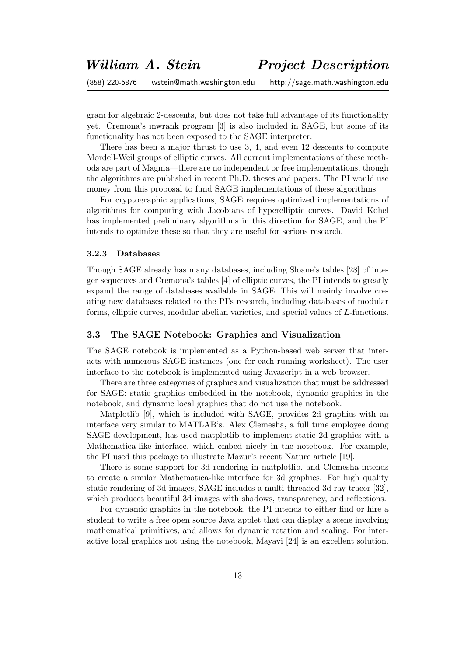gram for algebraic 2-descents, but does not take full advantage of its functionality yet. Cremona's mwrank program [3] is also included in SAGE, but some of its functionality has not been exposed to the SAGE interpreter.

There has been a major thrust to use 3, 4, and even 12 descents to compute Mordell-Weil groups of elliptic curves. All current implementations of these methods are part of Magma—there are no independent or free implementations, though the algorithms are published in recent Ph.D. theses and papers. The PI would use money from this proposal to fund SAGE implementations of these algorithms.

For cryptographic applications, SAGE requires optimized implementations of algorithms for computing with Jacobians of hyperelliptic curves. David Kohel has implemented preliminary algorithms in this direction for SAGE, and the PI intends to optimize these so that they are useful for serious research.

### 3.2.3 Databases

Though SAGE already has many databases, including Sloane's tables [28] of integer sequences and Cremona's tables [4] of elliptic curves, the PI intends to greatly expand the range of databases available in SAGE. This will mainly involve creating new databases related to the PI's research, including databases of modular forms, elliptic curves, modular abelian varieties, and special values of L-functions.

### 3.3 The SAGE Notebook: Graphics and Visualization

The SAGE notebook is implemented as a Python-based web server that interacts with numerous SAGE instances (one for each running worksheet). The user interface to the notebook is implemented using Javascript in a web browser.

There are three categories of graphics and visualization that must be addressed for SAGE: static graphics embedded in the notebook, dynamic graphics in the notebook, and dynamic local graphics that do not use the notebook.

Matplotlib [9], which is included with SAGE, provides 2d graphics with an interface very similar to MATLAB's. Alex Clemesha, a full time employee doing SAGE development, has used matplotlib to implement static 2d graphics with a Mathematica-like interface, which embed nicely in the notebook. For example, the PI used this package to illustrate Mazur's recent Nature article [19].

There is some support for 3d rendering in matplotlib, and Clemesha intends to create a similar Mathematica-like interface for 3d graphics. For high quality static rendering of 3d images, SAGE includes a multi-threaded 3d ray tracer [32], which produces beautiful 3d images with shadows, transparency, and reflections.

For dynamic graphics in the notebook, the PI intends to either find or hire a student to write a free open source Java applet that can display a scene involving mathematical primitives, and allows for dynamic rotation and scaling. For interactive local graphics not using the notebook, Mayavi [24] is an excellent solution.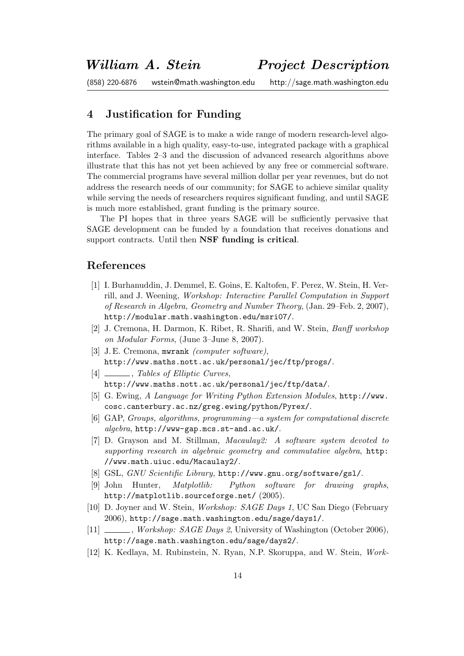# 4 Justification for Funding

The primary goal of SAGE is to make a wide range of modern research-level algorithms available in a high quality, easy-to-use, integrated package with a graphical interface. Tables 2–3 and the discussion of advanced research algorithms above illustrate that this has not yet been achieved by any free or commercial software. The commercial programs have several million dollar per year revenues, but do not address the research needs of our community; for SAGE to achieve similar quality while serving the needs of researchers requires significant funding, and until SAGE is much more established, grant funding is the primary source.

The PI hopes that in three years SAGE will be sufficiently pervasive that SAGE development can be funded by a foundation that receives donations and support contracts. Until then NSF funding is critical.

# References

- [1] I. Burhanuddin, J. Demmel, E. Goins, E. Kaltofen, F. Perez, W. Stein, H. Verrill, and J. Weening, Workshop: Interactive Parallel Computation in Support of Research in Algebra, Geometry and Number Theory, (Jan. 29–Feb. 2, 2007), http://modular.math.washington.edu/msri07/.
- [2] J. Cremona, H. Darmon, K. Ribet, R. Sharifi, and W. Stein, Banff workshop on Modular Forms, (June 3–June 8, 2007).
- [3] J.E. Cremona, mwrank *(computer software)*, http://www.maths.nott.ac.uk/personal/jec/ftp/progs/.
- [4] \_\_\_\_\_\_, Tables of Elliptic Curves, http://www.maths.nott.ac.uk/personal/jec/ftp/data/.
- [5] G. Ewing, A Language for Writing Python Extension Modules, http://www. cosc.canterbury.ac.nz/greg.ewing/python/Pyrex/.
- [6] GAP, Groups, algorithms, programming—a system for computational discrete algebra, http://www-gap.mcs.st-and.ac.uk/.
- [7] D. Grayson and M. Stillman, Macaulay2: A software system devoted to supporting research in algebraic geometry and commutative algebra, http: //www.math.uiuc.edu/Macaulay2/.
- [8] GSL, GNU Scientific Library, http://www.gnu.org/software/gsl/.
- [9] John Hunter, Matplotlib: Python software for drawing graphs, http://matplotlib.sourceforge.net/ (2005).
- [10] D. Joyner and W. Stein, Workshop: SAGE Days 1, UC San Diego (February 2006), http://sage.math.washington.edu/sage/days1/.
- [11] , Workshop: SAGE Days 2, University of Washington (October 2006), http://sage.math.washington.edu/sage/days2/.
- [12] K. Kedlaya, M. Rubinstein, N. Ryan, N.P. Skoruppa, and W. Stein, Work-